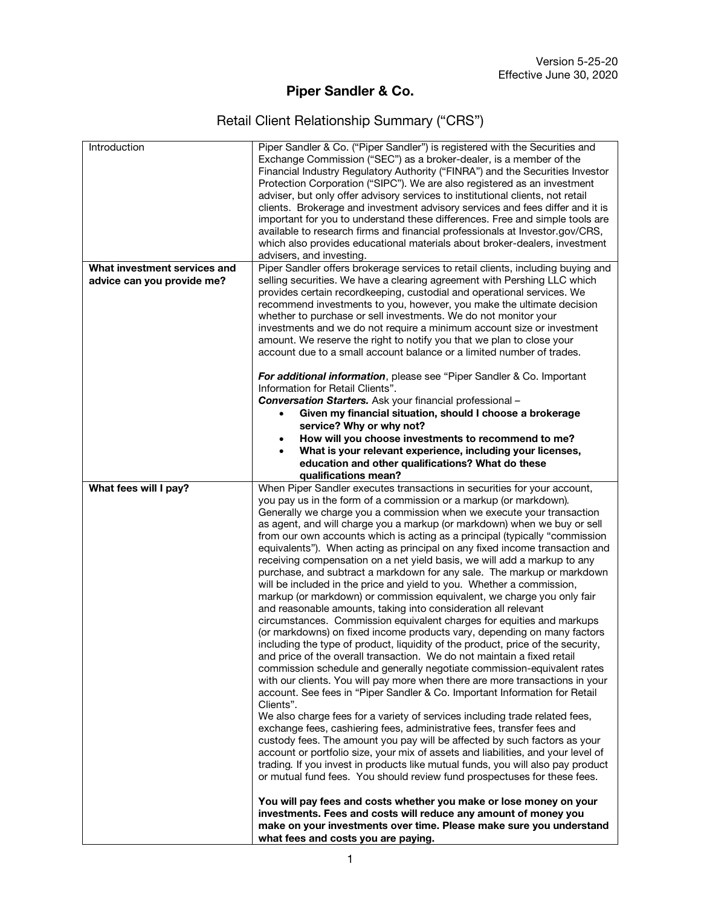## Piper Sandler & Co.

## Retail Client Relationship Summary ("CRS")

| Introduction                 | Piper Sandler & Co. ("Piper Sandler") is registered with the Securities and<br>Exchange Commission ("SEC") as a broker-dealer, is a member of the<br>Financial Industry Regulatory Authority ("FINRA") and the Securities Investor<br>Protection Corporation ("SIPC"). We are also registered as an investment<br>adviser, but only offer advisory services to institutional clients, not retail<br>clients. Brokerage and investment advisory services and fees differ and it is<br>important for you to understand these differences. Free and simple tools are<br>available to research firms and financial professionals at Investor.gov/CRS,<br>which also provides educational materials about broker-dealers, investment<br>advisers, and investing.                                                                                                                                                                                                                                                                                                                                                                                                                                                                                                                                                                                                                                                                                                                                                                                                                                                                                                                                                                                                                                                                                                                                                   |
|------------------------------|---------------------------------------------------------------------------------------------------------------------------------------------------------------------------------------------------------------------------------------------------------------------------------------------------------------------------------------------------------------------------------------------------------------------------------------------------------------------------------------------------------------------------------------------------------------------------------------------------------------------------------------------------------------------------------------------------------------------------------------------------------------------------------------------------------------------------------------------------------------------------------------------------------------------------------------------------------------------------------------------------------------------------------------------------------------------------------------------------------------------------------------------------------------------------------------------------------------------------------------------------------------------------------------------------------------------------------------------------------------------------------------------------------------------------------------------------------------------------------------------------------------------------------------------------------------------------------------------------------------------------------------------------------------------------------------------------------------------------------------------------------------------------------------------------------------------------------------------------------------------------------------------------------------|
| What investment services and | Piper Sandler offers brokerage services to retail clients, including buying and                                                                                                                                                                                                                                                                                                                                                                                                                                                                                                                                                                                                                                                                                                                                                                                                                                                                                                                                                                                                                                                                                                                                                                                                                                                                                                                                                                                                                                                                                                                                                                                                                                                                                                                                                                                                                               |
| advice can you provide me?   | selling securities. We have a clearing agreement with Pershing LLC which                                                                                                                                                                                                                                                                                                                                                                                                                                                                                                                                                                                                                                                                                                                                                                                                                                                                                                                                                                                                                                                                                                                                                                                                                                                                                                                                                                                                                                                                                                                                                                                                                                                                                                                                                                                                                                      |
|                              | provides certain recordkeeping, custodial and operational services. We<br>recommend investments to you, however, you make the ultimate decision<br>whether to purchase or sell investments. We do not monitor your<br>investments and we do not require a minimum account size or investment<br>amount. We reserve the right to notify you that we plan to close your<br>account due to a small account balance or a limited number of trades.                                                                                                                                                                                                                                                                                                                                                                                                                                                                                                                                                                                                                                                                                                                                                                                                                                                                                                                                                                                                                                                                                                                                                                                                                                                                                                                                                                                                                                                                |
|                              | For additional information, please see "Piper Sandler & Co. Important<br>Information for Retail Clients".                                                                                                                                                                                                                                                                                                                                                                                                                                                                                                                                                                                                                                                                                                                                                                                                                                                                                                                                                                                                                                                                                                                                                                                                                                                                                                                                                                                                                                                                                                                                                                                                                                                                                                                                                                                                     |
|                              | Conversation Starters. Ask your financial professional -                                                                                                                                                                                                                                                                                                                                                                                                                                                                                                                                                                                                                                                                                                                                                                                                                                                                                                                                                                                                                                                                                                                                                                                                                                                                                                                                                                                                                                                                                                                                                                                                                                                                                                                                                                                                                                                      |
|                              | Given my financial situation, should I choose a brokerage<br>$\bullet$                                                                                                                                                                                                                                                                                                                                                                                                                                                                                                                                                                                                                                                                                                                                                                                                                                                                                                                                                                                                                                                                                                                                                                                                                                                                                                                                                                                                                                                                                                                                                                                                                                                                                                                                                                                                                                        |
|                              | service? Why or why not?                                                                                                                                                                                                                                                                                                                                                                                                                                                                                                                                                                                                                                                                                                                                                                                                                                                                                                                                                                                                                                                                                                                                                                                                                                                                                                                                                                                                                                                                                                                                                                                                                                                                                                                                                                                                                                                                                      |
|                              | How will you choose investments to recommend to me?<br>$\bullet$                                                                                                                                                                                                                                                                                                                                                                                                                                                                                                                                                                                                                                                                                                                                                                                                                                                                                                                                                                                                                                                                                                                                                                                                                                                                                                                                                                                                                                                                                                                                                                                                                                                                                                                                                                                                                                              |
|                              | What is your relevant experience, including your licenses,                                                                                                                                                                                                                                                                                                                                                                                                                                                                                                                                                                                                                                                                                                                                                                                                                                                                                                                                                                                                                                                                                                                                                                                                                                                                                                                                                                                                                                                                                                                                                                                                                                                                                                                                                                                                                                                    |
|                              | education and other qualifications? What do these                                                                                                                                                                                                                                                                                                                                                                                                                                                                                                                                                                                                                                                                                                                                                                                                                                                                                                                                                                                                                                                                                                                                                                                                                                                                                                                                                                                                                                                                                                                                                                                                                                                                                                                                                                                                                                                             |
|                              | qualifications mean?                                                                                                                                                                                                                                                                                                                                                                                                                                                                                                                                                                                                                                                                                                                                                                                                                                                                                                                                                                                                                                                                                                                                                                                                                                                                                                                                                                                                                                                                                                                                                                                                                                                                                                                                                                                                                                                                                          |
| What fees will I pay?        | When Piper Sandler executes transactions in securities for your account,<br>you pay us in the form of a commission or a markup (or markdown).<br>Generally we charge you a commission when we execute your transaction<br>as agent, and will charge you a markup (or markdown) when we buy or sell<br>from our own accounts which is acting as a principal (typically "commission"<br>equivalents"). When acting as principal on any fixed income transaction and<br>receiving compensation on a net yield basis, we will add a markup to any<br>purchase, and subtract a markdown for any sale. The markup or markdown<br>will be included in the price and yield to you. Whether a commission,<br>markup (or markdown) or commission equivalent, we charge you only fair<br>and reasonable amounts, taking into consideration all relevant<br>circumstances. Commission equivalent charges for equities and markups<br>(or markdowns) on fixed income products vary, depending on many factors<br>including the type of product, liquidity of the product, price of the security,<br>and price of the overall transaction. We do not maintain a fixed retail<br>commission schedule and generally negotiate commission-equivalent rates<br>with our clients. You will pay more when there are more transactions in your<br>account. See fees in "Piper Sandler & Co. Important Information for Retail<br>Clients".<br>We also charge fees for a variety of services including trade related fees,<br>exchange fees, cashiering fees, administrative fees, transfer fees and<br>custody fees. The amount you pay will be affected by such factors as your<br>account or portfolio size, your mix of assets and liabilities, and your level of<br>trading. If you invest in products like mutual funds, you will also pay product<br>or mutual fund fees. You should review fund prospectuses for these fees. |
|                              | You will pay fees and costs whether you make or lose money on your<br>investments. Fees and costs will reduce any amount of money you                                                                                                                                                                                                                                                                                                                                                                                                                                                                                                                                                                                                                                                                                                                                                                                                                                                                                                                                                                                                                                                                                                                                                                                                                                                                                                                                                                                                                                                                                                                                                                                                                                                                                                                                                                         |
|                              | make on your investments over time. Please make sure you understand                                                                                                                                                                                                                                                                                                                                                                                                                                                                                                                                                                                                                                                                                                                                                                                                                                                                                                                                                                                                                                                                                                                                                                                                                                                                                                                                                                                                                                                                                                                                                                                                                                                                                                                                                                                                                                           |
|                              | what fees and costs you are paying.                                                                                                                                                                                                                                                                                                                                                                                                                                                                                                                                                                                                                                                                                                                                                                                                                                                                                                                                                                                                                                                                                                                                                                                                                                                                                                                                                                                                                                                                                                                                                                                                                                                                                                                                                                                                                                                                           |